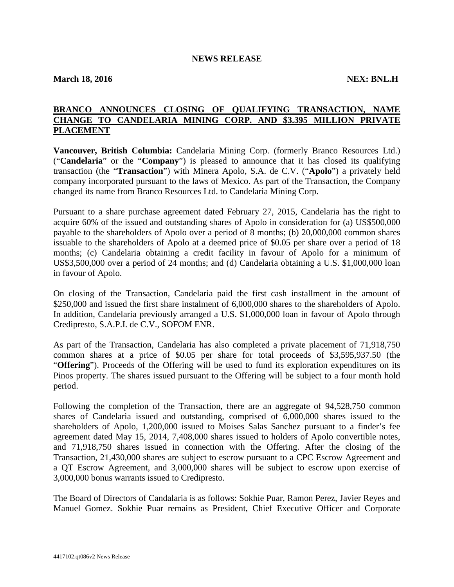## **NEWS RELEASE**

**March 18, 2016 NEX: BNL.H**

## **BRANCO ANNOUNCES CLOSING OF QUALIFYING TRANSACTION, NAME CHANGE TO CANDELARIA MINING CORP. AND \$3.395 MILLION PRIVATE PLACEMENT**

**Vancouver, British Columbia:** Candelaria Mining Corp. (formerly Branco Resources Ltd.) ("**Candelaria**" or the "**Company**") is pleased to announce that it has closed its qualifying transaction (the "**Transaction**") with Minera Apolo, S.A. de C.V. ("**Apolo**") a privately held company incorporated pursuant to the laws of Mexico. As part of the Transaction, the Company changed its name from Branco Resources Ltd. to Candelaria Mining Corp.

Pursuant to a share purchase agreement dated February 27, 2015, Candelaria has the right to acquire 60% of the issued and outstanding shares of Apolo in consideration for (a) US\$500,000 payable to the shareholders of Apolo over a period of 8 months; (b) 20,000,000 common shares issuable to the shareholders of Apolo at a deemed price of \$0.05 per share over a period of 18 months; (c) Candelaria obtaining a credit facility in favour of Apolo for a minimum of US\$3,500,000 over a period of 24 months; and (d) Candelaria obtaining a U.S. \$1,000,000 loan in favour of Apolo.

On closing of the Transaction, Candelaria paid the first cash installment in the amount of \$250,000 and issued the first share instalment of 6,000,000 shares to the shareholders of Apolo. In addition, Candelaria previously arranged a U.S. \$1,000,000 loan in favour of Apolo through Credipresto, S.A.P.I. de C.V., SOFOM ENR.

As part of the Transaction, Candelaria has also completed a private placement of 71,918,750 common shares at a price of \$0.05 per share for total proceeds of \$3,595,937.50 (the "**Offering**"). Proceeds of the Offering will be used to fund its exploration expenditures on its Pinos property. The shares issued pursuant to the Offering will be subject to a four month hold period.

Following the completion of the Transaction, there are an aggregate of 94,528,750 common shares of Candelaria issued and outstanding, comprised of 6,000,000 shares issued to the shareholders of Apolo, 1,200,000 issued to Moises Salas Sanchez pursuant to a finder's fee agreement dated May 15, 2014, 7,408,000 shares issued to holders of Apolo convertible notes, and 71,918,750 shares issued in connection with the Offering. After the closing of the Transaction, 21,430,000 shares are subject to escrow pursuant to a CPC Escrow Agreement and a QT Escrow Agreement, and 3,000,000 shares will be subject to escrow upon exercise of 3,000,000 bonus warrants issued to Credipresto.

The Board of Directors of Candalaria is as follows: Sokhie Puar, Ramon Perez, Javier Reyes and Manuel Gomez. Sokhie Puar remains as President, Chief Executive Officer and Corporate